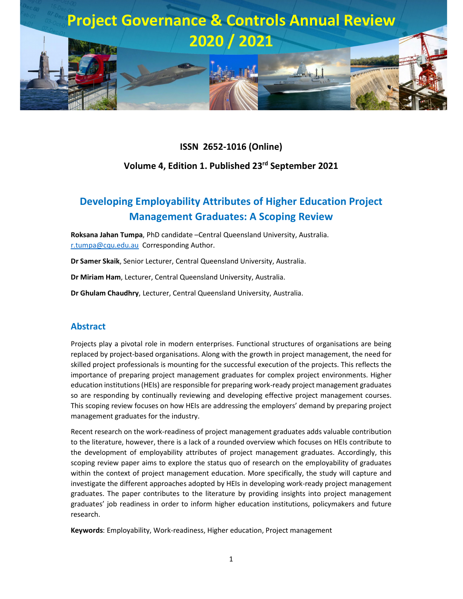

#### **ISSN 2652-1016 (Online)**

#### **Volume 4, Edition 1. Published 23rd September 2021**

# **Developing Employability Attributes of Higher Education Project Management Graduates: A Scoping Review**

**Roksana Jahan Tumpa**, PhD candidate –Central Queensland University, Australia. r.tumpa@cqu.edu.au Corresponding Author.

**Dr Samer Skaik**, Senior Lecturer, Central Queensland University, Australia.

**Dr Miriam Ham**, Lecturer, Central Queensland University, Australia.

**Dr Ghulam Chaudhry**, Lecturer, Central Queensland University, Australia.

#### **Abstract**

Projects play a pivotal role in modern enterprises. Functional structures of organisations are being replaced by project-based organisations. Along with the growth in project management, the need for skilled project professionals is mounting for the successful execution of the projects. This reflects the importance of preparing project management graduates for complex project environments. Higher education institutions (HEIs) are responsible for preparing work-ready project management graduates so are responding by continually reviewing and developing effective project management courses. This scoping review focuses on how HEIs are addressing the employers' demand by preparing project management graduates for the industry.

Recent research on the work-readiness of project management graduates adds valuable contribution to the literature, however, there is a lack of a rounded overview which focuses on HEIs contribute to the development of employability attributes of project management graduates. Accordingly, this scoping review paper aims to explore the status quo of research on the employability of graduates within the context of project management education. More specifically, the study will capture and investigate the different approaches adopted by HEIs in developing work-ready project management graduates. The paper contributes to the literature by providing insights into project management graduates' job readiness in order to inform higher education institutions, policymakers and future research.

**Keywords**: Employability, Work-readiness, Higher education, Project management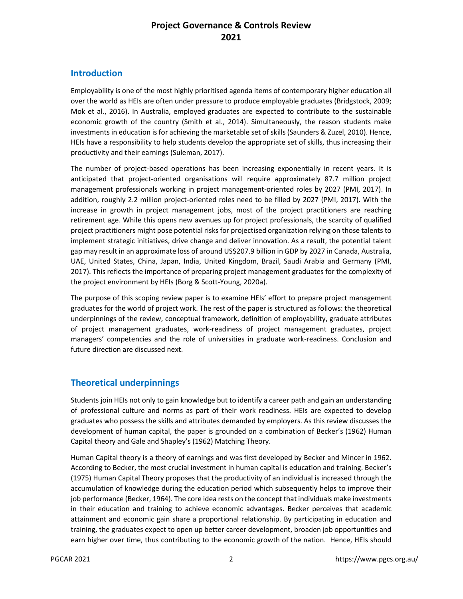### **Introduction**

Employability is one of the most highly prioritised agenda items of contemporary higher education all over the world as HEIs are often under pressure to produce employable graduates (Bridgstock, 2009; Mok et al., 2016). In Australia, employed graduates are expected to contribute to the sustainable economic growth of the country (Smith et al., 2014). Simultaneously, the reason students make investments in education is for achieving the marketable set of skills (Saunders & Zuzel, 2010). Hence, HEIs have a responsibility to help students develop the appropriate set of skills, thus increasing their productivity and their earnings (Suleman, 2017).

The number of project-based operations has been increasing exponentially in recent years. It is anticipated that project-oriented organisations will require approximately 87.7 million project management professionals working in project management-oriented roles by 2027 (PMI, 2017). In addition, roughly 2.2 million project-oriented roles need to be filled by 2027 (PMI, 2017). With the increase in growth in project management jobs, most of the project practitioners are reaching retirement age. While this opens new avenues up for project professionals, the scarcity of qualified project practitioners might pose potential risks for projectised organization relying on those talents to implement strategic initiatives, drive change and deliver innovation. As a result, the potential talent gap may result in an approximate loss of around US\$207.9 billion in GDP by 2027 in Canada, Australia, UAE, United States, China, Japan, India, United Kingdom, Brazil, Saudi Arabia and Germany (PMI, 2017). This reflects the importance of preparing project management graduates for the complexity of the project environment by HEIs (Borg & Scott-Young, 2020a).

The purpose of this scoping review paper is to examine HEIs' effort to prepare project management graduates for the world of project work. The rest of the paper is structured as follows: the theoretical underpinnings of the review, conceptual framework, definition of employability, graduate attributes of project management graduates, work-readiness of project management graduates, project managers' competencies and the role of universities in graduate work-readiness. Conclusion and future direction are discussed next.

# **Theoretical underpinnings**

Students join HEIs not only to gain knowledge but to identify a career path and gain an understanding of professional culture and norms as part of their work readiness. HEIs are expected to develop graduates who possess the skills and attributes demanded by employers. As this review discusses the development of human capital, the paper is grounded on a combination of Becker's (1962) Human Capital theory and Gale and Shapley's (1962) Matching Theory.

Human Capital theory is a theory of earnings and was first developed by Becker and Mincer in 1962. According to Becker, the most crucial investment in human capital is education and training. Becker's (1975) Human Capital Theory proposes that the productivity of an individual is increased through the accumulation of knowledge during the education period which subsequently helps to improve their job performance (Becker, 1964). The core idea rests on the concept that individuals make investments in their education and training to achieve economic advantages. Becker perceives that academic attainment and economic gain share a proportional relationship. By participating in education and training, the graduates expect to open up better career development, broaden job opportunities and earn higher over time, thus contributing to the economic growth of the nation. Hence, HEIs should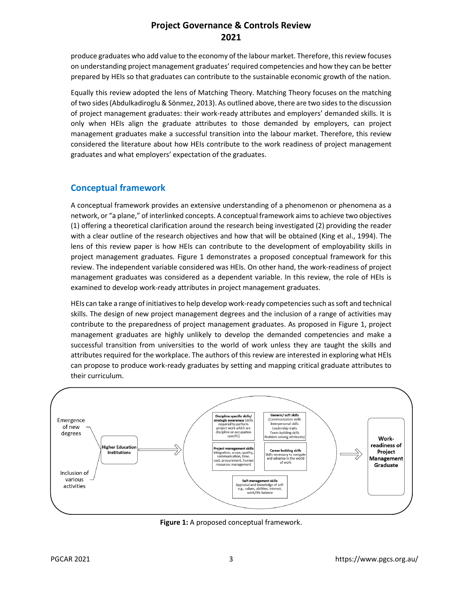produce graduates who add value to the economy of the labour market. Therefore, this review focuses on understanding project management graduates' required competencies and how they can be better prepared by HEIs so that graduates can contribute to the sustainable economic growth of the nation.

Equally this review adopted the lens of Matching Theory. Matching Theory focuses on the matching of two sides (Abdulkadiroglu & Sönmez, 2013). As outlined above, there are two sides to the discussion of project management graduates: their work-ready attributes and employers' demanded skills. It is only when HEIs align the graduate attributes to those demanded by employers, can project management graduates make a successful transition into the labour market. Therefore, this review considered the literature about how HEIs contribute to the work readiness of project management graduates and what employers' expectation of the graduates.

#### **Conceptual framework**

A conceptual framework provides an extensive understanding of a phenomenon or phenomena as a network, or "a plane," of interlinked concepts. A conceptual framework aims to achieve two objectives (1) offering a theoretical clarification around the research being investigated (2) providing the reader with a clear outline of the research objectives and how that will be obtained (King et al., 1994). The lens of this review paper is how HEIs can contribute to the development of employability skills in project management graduates. Figure 1 demonstrates a proposed conceptual framework for this review. The independent variable considered was HEIs. On other hand, the work-readiness of project management graduates was considered as a dependent variable. In this review, the role of HEIs is examined to develop work-ready attributes in project management graduates.

HEIs can take a range of initiatives to help develop work-ready competencies such as soft and technical skills. The design of new project management degrees and the inclusion of a range of activities may contribute to the preparedness of project management graduates. As proposed in Figure 1, project management graduates are highly unlikely to develop the demanded competencies and make a successful transition from universities to the world of work unless they are taught the skills and attributes required for the workplace. The authors of this review are interested in exploring what HEIs can propose to produce work-ready graduates by setting and mapping critical graduate attributes to their curriculum.



**Figure 1:** A proposed conceptual framework.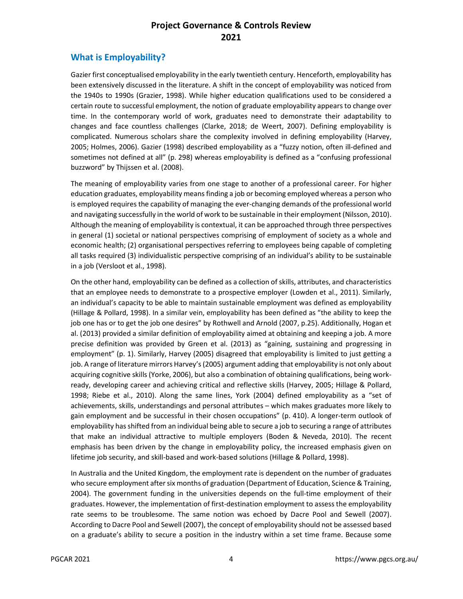## **What is Employability?**

Gazier first conceptualised employability in the early twentieth century. Henceforth, employability has been extensively discussed in the literature. A shift in the concept of employability was noticed from the 1940s to 1990s (Grazier, 1998). While higher education qualifications used to be considered a certain route to successful employment, the notion of graduate employability appears to change over time. In the contemporary world of work, graduates need to demonstrate their adaptability to changes and face countless challenges (Clarke, 2018; de Weert, 2007). Defining employability is complicated. Numerous scholars share the complexity involved in defining employability (Harvey, 2005; Holmes, 2006). Gazier (1998) described employability as a "fuzzy notion, often ill-defined and sometimes not defined at all" (p. 298) whereas employability is defined as a "confusing professional buzzword" by Thijssen et al. (2008).

The meaning of employability varies from one stage to another of a professional career. For higher education graduates, employability means finding a job or becoming employed whereas a person who is employed requires the capability of managing the ever-changing demands of the professional world and navigating successfully in the world of work to be sustainable in their employment (Nilsson, 2010). Although the meaning of employability is contextual, it can be approached through three perspectives in general (1) societal or national perspectives comprising of employment of society as a whole and economic health; (2) organisational perspectives referring to employees being capable of completing all tasks required (3) individualistic perspective comprising of an individual's ability to be sustainable in a job (Versloot et al., 1998).

On the other hand, employability can be defined as a collection of skills, attributes, and characteristics that an employee needs to demonstrate to a prospective employer (Lowden et al., 2011). Similarly, an individual's capacity to be able to maintain sustainable employment was defined as employability (Hillage & Pollard, 1998). In a similar vein, employability has been defined as "the ability to keep the job one has or to get the job one desires" by Rothwell and Arnold (2007, p.25). Additionally, Hogan et al. (2013) provided a similar definition of employability aimed at obtaining and keeping a job. A more precise definition was provided by Green et al. (2013) as "gaining, sustaining and progressing in employment" (p. 1). Similarly, Harvey (2005) disagreed that employability is limited to just getting a job. A range of literature mirrors Harvey's (2005) argument adding that employability is not only about acquiring cognitive skills (Yorke, 2006), but also a combination of obtaining qualifications, being workready, developing career and achieving critical and reflective skills (Harvey, 2005; Hillage & Pollard, 1998; Riebe et al., 2010). Along the same lines, York (2004) defined employability as a "set of achievements, skills, understandings and personal attributes – which makes graduates more likely to gain employment and be successful in their chosen occupations" (p. 410). A longer-term outlook of employability has shifted from an individual being able to secure a job to securing a range of attributes that make an individual attractive to multiple employers (Boden & Neveda, 2010). The recent emphasis has been driven by the change in employability policy, the increased emphasis given on lifetime job security, and skill-based and work-based solutions (Hillage & Pollard, 1998).

In Australia and the United Kingdom, the employment rate is dependent on the number of graduates who secure employment after six months of graduation (Department of Education, Science & Training, 2004). The government funding in the universities depends on the full-time employment of their graduates. However, the implementation of first-destination employment to assess the employability rate seems to be troublesome. The same notion was echoed by Dacre Pool and Sewell (2007). According to Dacre Pool and Sewell (2007), the concept of employability should not be assessed based on a graduate's ability to secure a position in the industry within a set time frame. Because some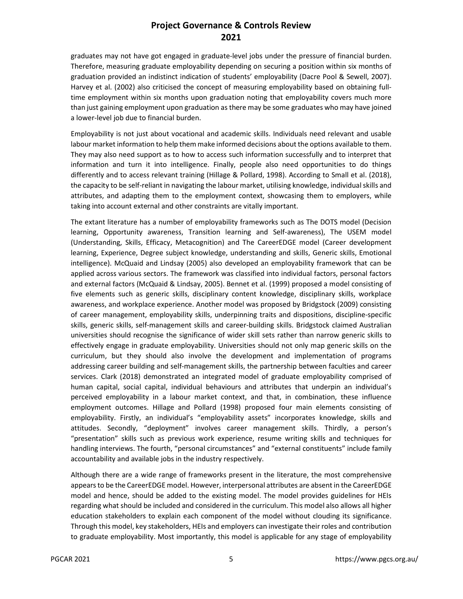graduates may not have got engaged in graduate-level jobs under the pressure of financial burden. Therefore, measuring graduate employability depending on securing a position within six months of graduation provided an indistinct indication of students' employability (Dacre Pool & Sewell, 2007). Harvey et al. (2002) also criticised the concept of measuring employability based on obtaining fulltime employment within six months upon graduation noting that employability covers much more than just gaining employment upon graduation as there may be some graduates who may have joined a lower-level job due to financial burden.

Employability is not just about vocational and academic skills. Individuals need relevant and usable labour market information to help them make informed decisions about the options available to them. They may also need support as to how to access such information successfully and to interpret that information and turn it into intelligence. Finally, people also need opportunities to do things differently and to access relevant training (Hillage & Pollard, 1998). According to Small et al. (2018), the capacity to be self-reliant in navigating the labour market, utilising knowledge, individual skills and attributes, and adapting them to the employment context, showcasing them to employers, while taking into account external and other constraints are vitally important.

The extant literature has a number of employability frameworks such as The DOTS model (Decision learning, Opportunity awareness, Transition learning and Self-awareness), The USEM model (Understanding, Skills, Efficacy, Metacognition) and The CareerEDGE model (Career development learning, Experience, Degree subject knowledge, understanding and skills, Generic skills, Emotional intelligence). McQuaid and Lindsay (2005) also developed an employability framework that can be applied across various sectors. The framework was classified into individual factors, personal factors and external factors (McQuaid & Lindsay, 2005). Bennet et al. (1999) proposed a model consisting of five elements such as generic skills, disciplinary content knowledge, disciplinary skills, workplace awareness, and workplace experience. Another model was proposed by Bridgstock (2009) consisting of career management, employability skills, underpinning traits and dispositions, discipline-specific skills, generic skills, self-management skills and career-building skills. Bridgstock claimed Australian universities should recognise the significance of wider skill sets rather than narrow generic skills to effectively engage in graduate employability. Universities should not only map generic skills on the curriculum, but they should also involve the development and implementation of programs addressing career building and self-management skills, the partnership between faculties and career services. Clark (2018) demonstrated an integrated model of graduate employability comprised of human capital, social capital, individual behaviours and attributes that underpin an individual's perceived employability in a labour market context, and that, in combination, these influence employment outcomes. Hillage and Pollard (1998) proposed four main elements consisting of employability. Firstly, an individual's "employability assets" incorporates knowledge, skills and attitudes. Secondly, "deployment" involves career management skills. Thirdly, a person's "presentation" skills such as previous work experience, resume writing skills and techniques for handling interviews. The fourth, "personal circumstances" and "external constituents" include family accountability and available jobs in the industry respectively.

Although there are a wide range of frameworks present in the literature, the most comprehensive appears to be the CareerEDGE model. However, interpersonal attributes are absent in the CareerEDGE model and hence, should be added to the existing model. The model provides guidelines for HEIs regarding what should be included and considered in the curriculum. This model also allows all higher education stakeholders to explain each component of the model without clouding its significance. Through this model, key stakeholders, HEIs and employers can investigate their roles and contribution to graduate employability. Most importantly, this model is applicable for any stage of employability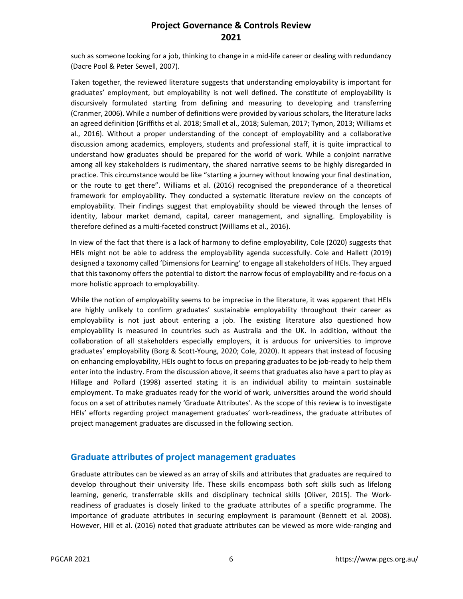such as someone looking for a job, thinking to change in a mid-life career or dealing with redundancy (Dacre Pool & Peter Sewell, 2007).

Taken together, the reviewed literature suggests that understanding employability is important for graduates' employment, but employability is not well defined. The constitute of employability is discursively formulated starting from defining and measuring to developing and transferring (Cranmer, 2006). While a number of definitions were provided by various scholars, the literature lacks an agreed definition (Griffiths et al. 2018; Small et al., 2018; Suleman, 2017; Tymon, 2013; Williams et al., 2016). Without a proper understanding of the concept of employability and a collaborative discussion among academics, employers, students and professional staff, it is quite impractical to understand how graduates should be prepared for the world of work. While a conjoint narrative among all key stakeholders is rudimentary, the shared narrative seems to be highly disregarded in practice. This circumstance would be like "starting a journey without knowing your final destination, or the route to get there". Williams et al. (2016) recognised the preponderance of a theoretical framework for employability. They conducted a systematic literature review on the concepts of employability. Their findings suggest that employability should be viewed through the lenses of identity, labour market demand, capital, career management, and signalling. Employability is therefore defined as a multi-faceted construct (Williams et al., 2016).

In view of the fact that there is a lack of harmony to define employability, Cole (2020) suggests that HEIs might not be able to address the employability agenda successfully. Cole and Hallett (2019) designed a taxonomy called 'Dimensions for Learning' to engage all stakeholders of HEIs. They argued that this taxonomy offers the potential to distort the narrow focus of employability and re-focus on a more holistic approach to employability.

While the notion of employability seems to be imprecise in the literature, it was apparent that HEIs are highly unlikely to confirm graduates' sustainable employability throughout their career as employability is not just about entering a job. The existing literature also questioned how employability is measured in countries such as Australia and the UK. In addition, without the collaboration of all stakeholders especially employers, it is arduous for universities to improve graduates' employability (Borg & Scott-Young, 2020; Cole, 2020). It appears that instead of focusing on enhancing employability, HEIs ought to focus on preparing graduates to be job-ready to help them enter into the industry. From the discussion above, it seems that graduates also have a part to play as Hillage and Pollard (1998) asserted stating it is an individual ability to maintain sustainable employment. To make graduates ready for the world of work, universities around the world should focus on a set of attributes namely 'Graduate Attributes'. As the scope of this review is to investigate HEIs' efforts regarding project management graduates' work-readiness, the graduate attributes of project management graduates are discussed in the following section.

#### **Graduate attributes of project management graduates**

Graduate attributes can be viewed as an array of skills and attributes that graduates are required to develop throughout their university life. These skills encompass both soft skills such as lifelong learning, generic, transferrable skills and disciplinary technical skills (Oliver, 2015). The Workreadiness of graduates is closely linked to the graduate attributes of a specific programme. The importance of graduate attributes in securing employment is paramount (Bennett et al. 2008). However, Hill et al. (2016) noted that graduate attributes can be viewed as more wide-ranging and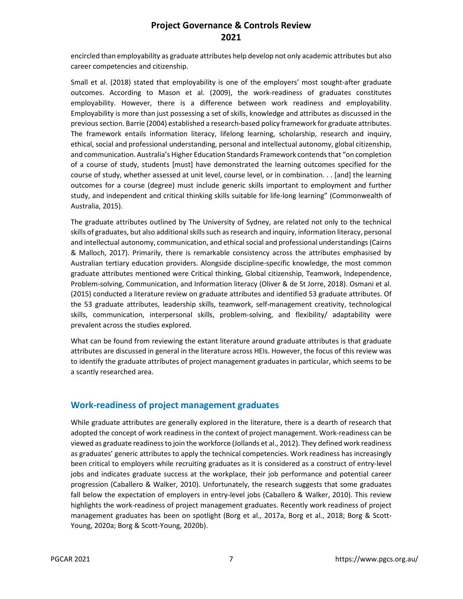encircled than employability as graduate attributes help develop not only academic attributes but also career competencies and citizenship.

Small et al. (2018) stated that employability is one of the employers' most sought-after graduate outcomes. According to Mason et al. (2009), the work-readiness of graduates constitutes employability. However, there is a difference between work readiness and employability. Employability is more than just possessing a set of skills, knowledge and attributes as discussed in the previous section. Barrie (2004) established a research-based policy framework for graduate attributes. The framework entails information literacy, lifelong learning, scholarship, research and inquiry, ethical, social and professional understanding, personal and intellectual autonomy, global citizenship, and communication. Australia's Higher Education Standards Framework contends that "on completion of a course of study, students [must] have demonstrated the learning outcomes specified for the course of study, whether assessed at unit level, course level, or in combination. . . [and] the learning outcomes for a course (degree) must include generic skills important to employment and further study, and independent and critical thinking skills suitable for life-long learning" (Commonwealth of Australia, 2015).

The graduate attributes outlined by The University of Sydney, are related not only to the technical skills of graduates, but also additional skills such as research and inquiry, information literacy, personal and intellectual autonomy, communication, and ethical social and professional understandings (Cairns & Malloch, 2017). Primarily, there is remarkable consistency across the attributes emphasised by Australian tertiary education providers. Alongside discipline-specific knowledge, the most common graduate attributes mentioned were Critical thinking, Global citizenship, Teamwork, Independence, Problem-solving, Communication, and Information literacy (Oliver & de St Jorre, 2018). Osmani et al. (2015) conducted a literature review on graduate attributes and identified 53 graduate attributes. Of the 53 graduate attributes, leadership skills, teamwork, self-management creativity, technological skills, communication, interpersonal skills, problem-solving, and flexibility/ adaptability were prevalent across the studies explored.

What can be found from reviewing the extant literature around graduate attributes is that graduate attributes are discussed in general in the literature across HEIs. However, the focus of this review was to identify the graduate attributes of project management graduates in particular, which seems to be a scantly researched area.

#### **Work-readiness of project management graduates**

While graduate attributes are generally explored in the literature, there is a dearth of research that adopted the concept of work readiness in the context of project management. Work-readiness can be viewed as graduate readiness to join the workforce (Jollands et al., 2012). They defined work readiness as graduates' generic attributes to apply the technical competencies. Work readiness has increasingly been critical to employers while recruiting graduates as it is considered as a construct of entry-level jobs and indicates graduate success at the workplace, their job performance and potential career progression (Caballero & Walker, 2010). Unfortunately, the research suggests that some graduates fall below the expectation of employers in entry-level jobs (Caballero & Walker, 2010). This review highlights the work-readiness of project management graduates. Recently work readiness of project management graduates has been on spotlight (Borg et al., 2017a, Borg et al., 2018; Borg & Scott-Young, 2020a; Borg & Scott-Young, 2020b).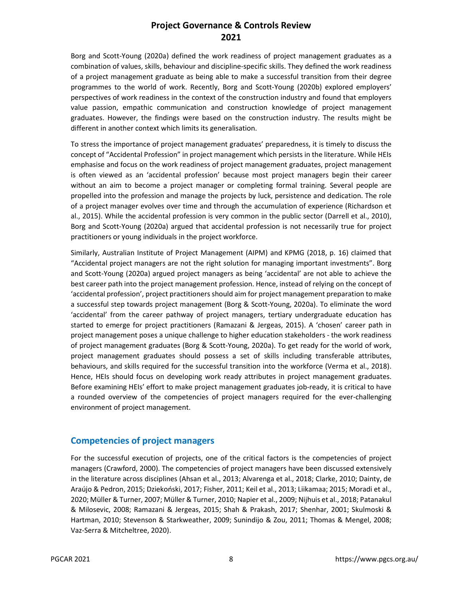Borg and Scott-Young (2020a) defined the work readiness of project management graduates as a combination of values, skills, behaviour and discipline-specific skills. They defined the work readiness of a project management graduate as being able to make a successful transition from their degree programmes to the world of work. Recently, Borg and Scott-Young (2020b) explored employers' perspectives of work readiness in the context of the construction industry and found that employers value passion, empathic communication and construction knowledge of project management graduates. However, the findings were based on the construction industry. The results might be different in another context which limits its generalisation.

To stress the importance of project management graduates' preparedness, it is timely to discuss the concept of "Accidental Profession" in project management which persists in the literature. While HEIs emphasise and focus on the work readiness of project management graduates, project management is often viewed as an 'accidental profession' because most project managers begin their career without an aim to become a project manager or completing formal training. Several people are propelled into the profession and manage the projects by luck, persistence and dedication. The role of a project manager evolves over time and through the accumulation of experience (Richardson et al., 2015). While the accidental profession is very common in the public sector (Darrell et al., 2010), Borg and Scott-Young (2020a) argued that accidental profession is not necessarily true for project practitioners or young individuals in the project workforce.

Similarly, Australian Institute of Project Management (AIPM) and KPMG (2018, p. 16) claimed that "Accidental project managers are not the right solution for managing important investments". Borg and Scott-Young (2020a) argued project managers as being 'accidental' are not able to achieve the best career path into the project management profession. Hence, instead of relying on the concept of 'accidental profession', project practitioners should aim for project management preparation to make a successful step towards project management (Borg & Scott-Young, 2020a). To eliminate the word 'accidental' from the career pathway of project managers, tertiary undergraduate education has started to emerge for project practitioners (Ramazani & Jergeas, 2015). A 'chosen' career path in project management poses a unique challenge to higher education stakeholders - the work readiness of project management graduates (Borg & Scott-Young, 2020a). To get ready for the world of work, project management graduates should possess a set of skills including transferable attributes, behaviours, and skills required for the successful transition into the workforce (Verma et al., 2018). Hence, HEIs should focus on developing work ready attributes in project management graduates. Before examining HEIs' effort to make project management graduates job-ready, it is critical to have a rounded overview of the competencies of project managers required for the ever-challenging environment of project management.

#### **Competencies of project managers**

For the successful execution of projects, one of the critical factors is the competencies of project managers (Crawford, 2000). The competencies of project managers have been discussed extensively in the literature across disciplines (Ahsan et al., 2013; Alvarenga et al., 2018; Clarke, 2010; Dainty, de Araújo & Pedron, 2015; Dziekoński, 2017; Fisher, 2011; Keil et al., 2013; Liikamaa; 2015; Moradi et al., 2020; Müller & Turner, 2007; Müller & Turner, 2010; Napier et al., 2009; Nijhuis et al., 2018; Patanakul & Milosevic, 2008; Ramazani & Jergeas, 2015; Shah & Prakash, 2017; Shenhar, 2001; Skulmoski & Hartman, 2010; Stevenson & Starkweather, 2009; Sunindijo & Zou, 2011; Thomas & Mengel, 2008; Vaz-Serra & Mitcheltree, 2020).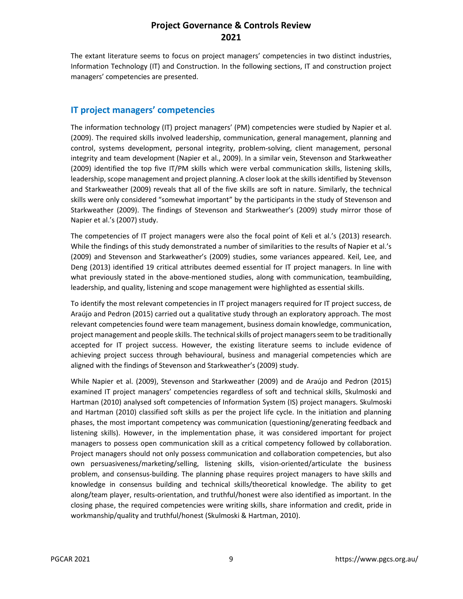The extant literature seems to focus on project managers' competencies in two distinct industries, Information Technology (IT) and Construction. In the following sections, IT and construction project managers' competencies are presented.

#### **IT project managers' competencies**

The information technology (IT) project managers' (PM) competencies were studied by Napier et al. (2009). The required skills involved leadership, communication, general management, planning and control, systems development, personal integrity, problem-solving, client management, personal integrity and team development (Napier et al., 2009). In a similar vein, Stevenson and Starkweather (2009) identified the top five IT/PM skills which were verbal communication skills, listening skills, leadership, scope management and project planning. A closer look at the skills identified by Stevenson and Starkweather (2009) reveals that all of the five skills are soft in nature. Similarly, the technical skills were only considered "somewhat important" by the participants in the study of Stevenson and Starkweather (2009). The findings of Stevenson and Starkweather's (2009) study mirror those of Napier et al.'s (2007) study.

The competencies of IT project managers were also the focal point of Keli et al.'s (2013) research. While the findings of this study demonstrated a number of similarities to the results of Napier et al.'s (2009) and Stevenson and Starkweather's (2009) studies, some variances appeared. Keil, Lee, and Deng (2013) identified 19 critical attributes deemed essential for IT project managers. In line with what previously stated in the above-mentioned studies, along with communication, teambuilding, leadership, and quality, listening and scope management were highlighted as essential skills.

To identify the most relevant competencies in IT project managers required for IT project success, de Araújo and Pedron (2015) carried out a qualitative study through an exploratory approach. The most relevant competencies found were team management, business domain knowledge, communication, project management and people skills. The technical skills of project managers seem to be traditionally accepted for IT project success. However, the existing literature seems to include evidence of achieving project success through behavioural, business and managerial competencies which are aligned with the findings of Stevenson and Starkweather's (2009) study.

While Napier et al. (2009), Stevenson and Starkweather (2009) and de Araújo and Pedron (2015) examined IT project managers' competencies regardless of soft and technical skills, Skulmoski and Hartman (2010) analysed soft competencies of Information System (IS) project managers. Skulmoski and Hartman (2010) classified soft skills as per the project life cycle. In the initiation and planning phases, the most important competency was communication (questioning/generating feedback and listening skills). However, in the implementation phase, it was considered important for project managers to possess open communication skill as a critical competency followed by collaboration. Project managers should not only possess communication and collaboration competencies, but also own persuasiveness/marketing/selling, listening skills, vision-oriented/articulate the business problem, and consensus-building. The planning phase requires project managers to have skills and knowledge in consensus building and technical skills/theoretical knowledge. The ability to get along/team player, results-orientation, and truthful/honest were also identified as important. In the closing phase, the required competencies were writing skills, share information and credit, pride in workmanship/quality and truthful/honest (Skulmoski & Hartman, 2010).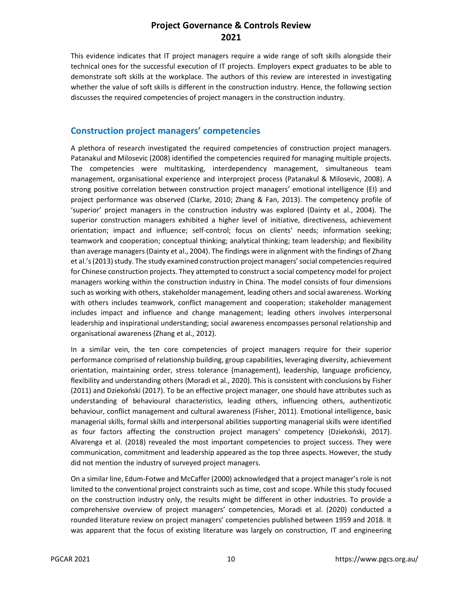This evidence indicates that IT project managers require a wide range of soft skills alongside their technical ones for the successful execution of IT projects. Employers expect graduates to be able to demonstrate soft skills at the workplace. The authors of this review are interested in investigating whether the value of soft skills is different in the construction industry. Hence, the following section discusses the required competencies of project managers in the construction industry.

#### **Construction project managers' competencies**

A plethora of research investigated the required competencies of construction project managers. Patanakul and Milosevic (2008) identified the competencies required for managing multiple projects. The competencies were multitasking, interdependency management, simultaneous team management, organisational experience and interproject process (Patanakul & Milosevic, 2008). A strong positive correlation between construction project managers' emotional intelligence (EI) and project performance was observed (Clarke, 2010; Zhang & Fan, 2013). The competency profile of 'superior' project managers in the construction industry was explored (Dainty et al., 2004). The superior construction managers exhibited a higher level of initiative, directiveness, achievement orientation; impact and influence; self-control; focus on clients' needs; information seeking; teamwork and cooperation; conceptual thinking; analytical thinking; team leadership; and flexibility than average managers (Dainty et al., 2004). The findings were in alignment with the findings of Zhang et al.'s (2013) study. The study examined construction project managers' social competencies required for Chinese construction projects. They attempted to construct a social competency model for project managers working within the construction industry in China. The model consists of four dimensions such as working with others, stakeholder management, leading others and social awareness. Working with others includes teamwork, conflict management and cooperation; stakeholder management includes impact and influence and change management; leading others involves interpersonal leadership and inspirational understanding; social awareness encompasses personal relationship and organisational awareness (Zhang et al., 2012).

In a similar vein, the ten core competencies of project managers require for their superior performance comprised of relationship building, group capabilities, leveraging diversity, achievement orientation, maintaining order, stress tolerance (management), leadership, language proficiency, flexibility and understanding others (Moradi et al., 2020). This is consistent with conclusions by Fisher (2011) and Dziekoński (2017). To be an effective project manager, one should have attributes such as understanding of behavioural characteristics, leading others, influencing others, authentizotic behaviour, conflict management and cultural awareness (Fisher, 2011). Emotional intelligence, basic managerial skills, formal skills and interpersonal abilities supporting managerial skills were identified as four factors affecting the construction project managers' competency (Dziekoński, 2017). Alvarenga et al. (2018) revealed the most important competencies to project success. They were communication, commitment and leadership appeared as the top three aspects. However, the study did not mention the industry of surveyed project managers.

On a similar line, Edum-Fotwe and McCaffer (2000) acknowledged that a project manager's role is not limited to the conventional project constraints such as time, cost and scope. While this study focused on the construction industry only, the results might be different in other industries. To provide a comprehensive overview of project managers' competencies, Moradi et al. (2020) conducted a rounded literature review on project managers' competencies published between 1959 and 2018. It was apparent that the focus of existing literature was largely on construction, IT and engineering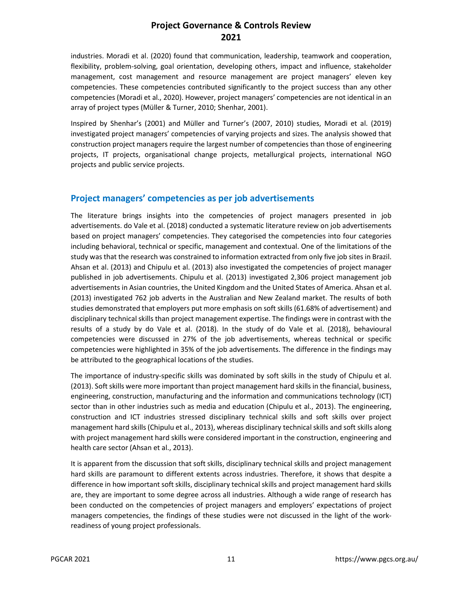industries. Moradi et al. (2020) found that communication, leadership, teamwork and cooperation, flexibility, problem-solving, goal orientation, developing others, impact and influence, stakeholder management, cost management and resource management are project managers' eleven key competencies. These competencies contributed significantly to the project success than any other competencies (Moradi et al., 2020). However, project managers' competencies are not identical in an array of project types (Müller & Turner, 2010; Shenhar, 2001).

Inspired by Shenhar's (2001) and Müller and Turner's (2007, 2010) studies, Moradi et al. (2019) investigated project managers' competencies of varying projects and sizes. The analysis showed that construction project managers require the largest number of competencies than those of engineering projects, IT projects, organisational change projects, metallurgical projects, international NGO projects and public service projects.

#### **Project managers' competencies as per job advertisements**

The literature brings insights into the competencies of project managers presented in job advertisements. do Vale et al. (2018) conducted a systematic literature review on job advertisements based on project managers' competencies. They categorised the competencies into four categories including behavioral, technical or specific, management and contextual. One of the limitations of the study was that the research was constrained to information extracted from only five job sites in Brazil. Ahsan et al. (2013) and Chipulu et al. (2013) also investigated the competencies of project manager published in job advertisements. Chipulu et al. (2013) investigated 2,306 project management job advertisements in Asian countries, the United Kingdom and the United States of America. Ahsan et al. (2013) investigated 762 job adverts in the Australian and New Zealand market. The results of both studies demonstrated that employers put more emphasis on soft skills (61.68% of advertisement) and disciplinary technical skills than project management expertise. The findings were in contrast with the results of a study by do Vale et al. (2018). In the study of do Vale et al. (2018), behavioural competencies were discussed in 27% of the job advertisements, whereas technical or specific competencies were highlighted in 35% of the job advertisements. The difference in the findings may be attributed to the geographical locations of the studies.

The importance of industry-specific skills was dominated by soft skills in the study of Chipulu et al. (2013). Soft skills were more important than project management hard skills in the financial, business, engineering, construction, manufacturing and the information and communications technology (ICT) sector than in other industries such as media and education (Chipulu et al., 2013). The engineering, construction and ICT industries stressed disciplinary technical skills and soft skills over project management hard skills (Chipulu et al., 2013), whereas disciplinary technical skills and soft skills along with project management hard skills were considered important in the construction, engineering and health care sector (Ahsan et al., 2013).

It is apparent from the discussion that soft skills, disciplinary technical skills and project management hard skills are paramount to different extents across industries. Therefore, it shows that despite a difference in how important soft skills, disciplinary technical skills and project management hard skills are, they are important to some degree across all industries. Although a wide range of research has been conducted on the competencies of project managers and employers' expectations of project managers competencies, the findings of these studies were not discussed in the light of the workreadiness of young project professionals.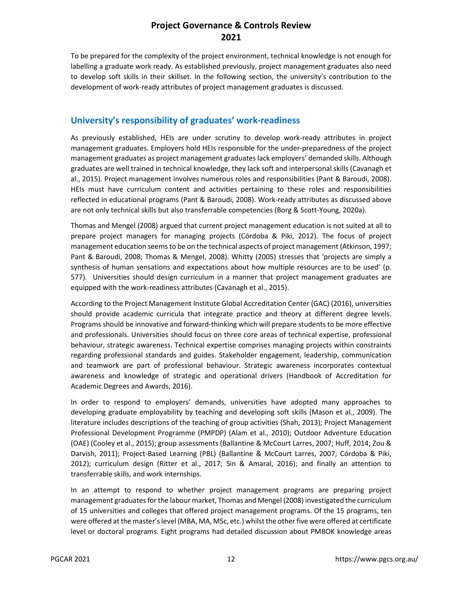To be prepared for the complexity of the project environment, technical knowledge is not enough for labelling a graduate work ready. As established previously, project management graduates also need to develop soft skills in their skillset. In the following section, the university's contribution to the development of work-ready attributes of project management graduates is discussed.

#### **University's responsibility of graduates' work-readiness**

As previously established, HEIs are under scrutiny to develop work-ready attributes in project management graduates. Employers hold HEIs responsible for the under-preparedness of the project management graduates as project management graduates lack employers' demanded skills. Although graduates are well trained in technical knowledge, they lack soft and interpersonal skills (Cavanagh et al., 2015). Project management involves numerous roles and responsibilities (Pant & Baroudi, 2008). HEIs must have curriculum content and activities pertaining to these roles and responsibilities reflected in educational programs (Pant & Baroudi, 2008). Work-ready attributes as discussed above are not only technical skills but also transferrable competencies (Borg & Scott-Young, 2020a).

Thomas and Mengel (2008) argued that current project management education is not suited at all to prepare project managers for managing projects (Córdoba & Piki, 2012). The focus of project management education seems to be on the technical aspects of project management (Atkinson, 1997; Pant & Baroudi, 2008; Thomas & Mengel, 2008). Whitty (2005) stresses that 'projects are simply a synthesis of human sensations and expectations about how multiple resources are to be used' (p. 577). Universities should design curriculum in a manner that project management graduates are equipped with the work-readiness attributes (Cavanagh et al., 2015).

According to the Project Management Institute Global Accreditation Center (GAC) (2016), universities should provide academic curricula that integrate practice and theory at different degree levels. Programs should be innovative and forward-thinking which will prepare students to be more effective and professionals. Universities should focus on three core areas of technical expertise, professional behaviour, strategic awareness. Technical expertise comprises managing projects within constraints regarding professional standards and guides. Stakeholder engagement, leadership, communication and teamwork are part of professional behaviour. Strategic awareness incorporates contextual awareness and knowledge of strategic and operational drivers (Handbook of Accreditation for Academic Degrees and Awards, 2016).

In order to respond to employers' demands, universities have adopted many approaches to developing graduate employability by teaching and developing soft skills (Mason et al., 2009). The literature includes descriptions of the teaching of group activities (Shah, 2013); Project Management Professional Development Programme (PMPDP) (Alam et al., 2010); Outdoor Adventure Education (OAE) (Cooley et al., 2015); group assessments (Ballantine & McCourt Larres, 2007; Huff, 2014; Zou & Darvish, 2011); Project-Based Learning (PBL) (Ballantine & McCourt Larres, 2007; Córdoba & Piki, 2012); curriculum design (Ritter et al., 2017; Sin & Amaral, 2016); and finally an attention to transferrable skills, and work internships.

In an attempt to respond to whether project management programs are preparing project management graduates for the labour market, Thomas and Mengel (2008) investigated the curriculum of 15 universities and colleges that offered project management programs. Of the 15 programs, ten were offered at the master's level (MBA, MA, MSc, etc.) whilst the other five were offered at certificate level or doctoral programs. Eight programs had detailed discussion about PMBOK knowledge areas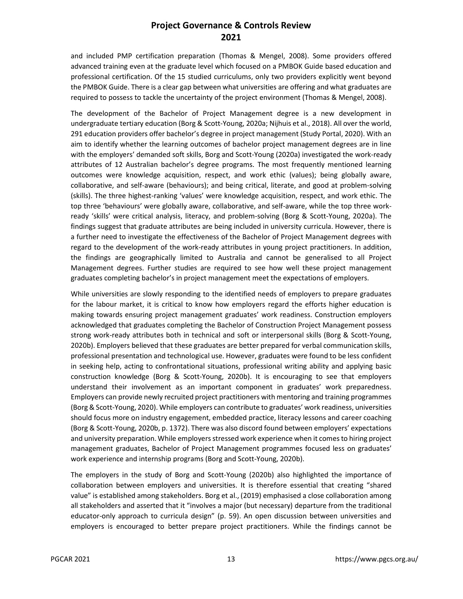and included PMP certification preparation (Thomas & Mengel, 2008). Some providers offered advanced training even at the graduate level which focused on a PMBOK Guide based education and professional certification. Of the 15 studied curriculums, only two providers explicitly went beyond the PMBOK Guide. There is a clear gap between what universities are offering and what graduates are required to possess to tackle the uncertainty of the project environment (Thomas & Mengel, 2008).

The development of the Bachelor of Project Management degree is a new development in undergraduate tertiary education (Borg & Scott-Young, 2020a; Nijhuis et al., 2018). All over the world, 291 education providers offer bachelor's degree in project management (Study Portal, 2020). With an aim to identify whether the learning outcomes of bachelor project management degrees are in line with the employers' demanded soft skills, Borg and Scott-Young (2020a) investigated the work-ready attributes of 12 Australian bachelor's degree programs. The most frequently mentioned learning outcomes were knowledge acquisition, respect, and work ethic (values); being globally aware, collaborative, and self-aware (behaviours); and being critical, literate, and good at problem-solving (skills). The three highest-ranking 'values' were knowledge acquisition, respect, and work ethic. The top three 'behaviours' were globally aware, collaborative, and self-aware, while the top three workready 'skills' were critical analysis, literacy, and problem-solving (Borg & Scott-Young, 2020a). The findings suggest that graduate attributes are being included in university curricula. However, there is a further need to investigate the effectiveness of the Bachelor of Project Management degrees with regard to the development of the work-ready attributes in young project practitioners. In addition, the findings are geographically limited to Australia and cannot be generalised to all Project Management degrees. Further studies are required to see how well these project management graduates completing bachelor's in project management meet the expectations of employers.

While universities are slowly responding to the identified needs of employers to prepare graduates for the labour market, it is critical to know how employers regard the efforts higher education is making towards ensuring project management graduates' work readiness. Construction employers acknowledged that graduates completing the Bachelor of Construction Project Management possess strong work-ready attributes both in technical and soft or interpersonal skills (Borg & Scott-Young, 2020b). Employers believed that these graduates are better prepared for verbal communication skills, professional presentation and technological use. However, graduates were found to be less confident in seeking help, acting to confrontational situations, professional writing ability and applying basic construction knowledge (Borg & Scott-Young, 2020b). It is encouraging to see that employers understand their involvement as an important component in graduates' work preparedness. Employers can provide newly recruited project practitioners with mentoring and training programmes (Borg & Scott-Young, 2020). While employers can contribute to graduates' work readiness, universities should focus more on industry engagement, embedded practice, literacy lessons and career coaching (Borg & Scott-Young, 2020b, p. 1372). There was also discord found between employers' expectations and university preparation. While employers stressed work experience when it comes to hiring project management graduates, Bachelor of Project Management programmes focused less on graduates' work experience and internship programs (Borg and Scott-Young, 2020b).

The employers in the study of Borg and Scott-Young (2020b) also highlighted the importance of collaboration between employers and universities. It is therefore essential that creating "shared value" is established among stakeholders. Borg et al., (2019) emphasised a close collaboration among all stakeholders and asserted that it "involves a major (but necessary) departure from the traditional educator-only approach to curricula design" (p. 59). An open discussion between universities and employers is encouraged to better prepare project practitioners. While the findings cannot be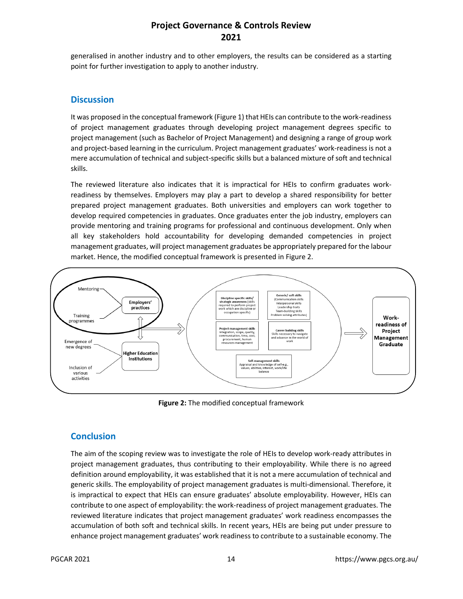generalised in another industry and to other employers, the results can be considered as a starting point for further investigation to apply to another industry.

#### **Discussion**

It was proposed in the conceptual framework (Figure 1) that HEIs can contribute to the work-readiness of project management graduates through developing project management degrees specific to project management (such as Bachelor of Project Management) and designing a range of group work and project-based learning in the curriculum. Project management graduates' work-readiness is not a mere accumulation of technical and subject-specific skills but a balanced mixture of soft and technical skills.

The reviewed literature also indicates that it is impractical for HEIs to confirm graduates workreadiness by themselves. Employers may play a part to develop a shared responsibility for better prepared project management graduates. Both universities and employers can work together to develop required competencies in graduates. Once graduates enter the job industry, employers can provide mentoring and training programs for professional and continuous development. Only when all key stakeholders hold accountability for developing demanded competencies in project management graduates, will project management graduates be appropriately prepared for the labour market. Hence, the modified conceptual framework is presented in Figure 2.



**Figure 2:** The modified conceptual framework

# **Conclusion**

The aim of the scoping review was to investigate the role of HEIs to develop work-ready attributes in project management graduates, thus contributing to their employability. While there is no agreed definition around employability, it was established that it is not a mere accumulation of technical and generic skills. The employability of project management graduates is multi-dimensional. Therefore, it is impractical to expect that HEIs can ensure graduates' absolute employability. However, HEIs can contribute to one aspect of employability: the work-readiness of project management graduates. The reviewed literature indicates that project management graduates' work readiness encompasses the accumulation of both soft and technical skills. In recent years, HEIs are being put under pressure to enhance project management graduates' work readiness to contribute to a sustainable economy. The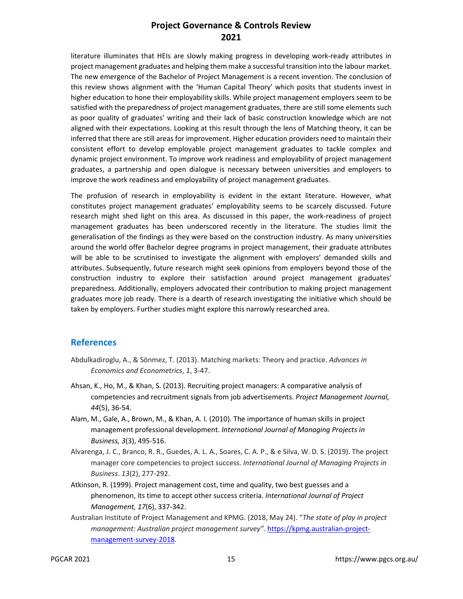literature illuminates that HEIs are slowly making progress in developing work-ready attributes in project management graduates and helping them make a successful transition into the labour market. The new emergence of the Bachelor of Project Management is a recent invention. The conclusion of this review shows alignment with the 'Human Capital Theory' which posits that students invest in higher education to hone their employability skills. While project management employers seem to be satisfied with the preparedness of project management graduates, there are still some elements such as poor quality of graduates' writing and their lack of basic construction knowledge which are not aligned with their expectations. Looking at this result through the lens of Matching theory, it can be inferred that there are still areas for improvement. Higher education providers need to maintain their consistent effort to develop employable project management graduates to tackle complex and dynamic project environment. To improve work readiness and employability of project management graduates, a partnership and open dialogue is necessary between universities and employers to improve the work readiness and employability of project management graduates.

The profusion of research in employability is evident in the extant literature. However, what constitutes project management graduates' employability seems to be scarcely discussed. Future research might shed light on this area. As discussed in this paper, the work-readiness of project management graduates has been underscored recently in the literature. The studies limit the generalisation of the findings as they were based on the construction industry. As many universities around the world offer Bachelor degree programs in project management, their graduate attributes will be able to be scrutinised to investigate the alignment with employers' demanded skills and attributes. Subsequently, future research might seek opinions from employers beyond those of the construction industry to explore their satisfaction around project management graduates' preparedness. Additionally, employers advocated their contribution to making project management graduates more job ready. There is a dearth of research investigating the initiative which should be taken by employers. Further studies might explore this narrowly researched area.

#### **References**

- Abdulkadiroglu, A., & Sönmez, T. (2013). Matching markets: Theory and practice. *Advances in Economics and Econometrics*, *1*, 3-47.
- Ahsan, K., Ho, M., & Khan, S. (2013). Recruiting project managers: A comparative analysis of competencies and recruitment signals from job advertisements. *Project Management Journal, 44*(5), 36-54.
- Alam, M., Gale, A., Brown, M., & Khan, A. I. (2010). The importance of human skills in project management professional development. *International Journal of Managing Projects in Business, 3*(3), 495-516.
- Alvarenga, J. C., Branco, R. R., Guedes, A. L. A., Soares, C. A. P., & e Silva, W. D. S. (2019). The project manager core competencies to project success. *International Journal of Managing Projects in Business*. *13*(2), 277-292.
- Atkinson, R. (1999). Project management cost, time and quality, two best guesses and a phenomenon, its time to accept other success criteria. *International Journal of Project Management, 17*(6), 337-342.
- Australian Institute of Project Management and KPMG. (2018, May 24). "*The state of play in project management: Australian project management survey"*. https://kpmg.australian-projectmanagement-survey-2018.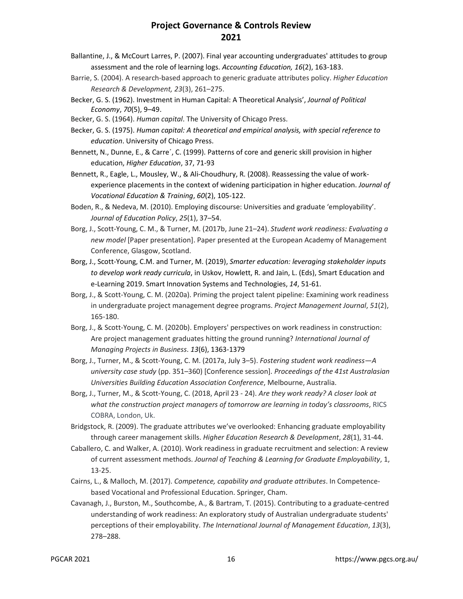- Ballantine, J., & McCourt Larres, P. (2007). Final year accounting undergraduates' attitudes to group assessment and the role of learning logs. *Accounting Education, 16*(2), 163-183.
- Barrie, S. (2004). A research-based approach to generic graduate attributes policy. *Higher Education Research & Development, 23*(3), 261–275.
- Becker, G. S. (1962). Investment in Human Capital: A Theoretical Analysis', *Journal of Political Economy*, *70*(5), 9–49.
- Becker, G. S. (1964). *Human capital*. The University of Chicago Press.
- Becker, G. S. (1975). *Human capital: A theoretical and empirical analysis, with special reference to education*. University of Chicago Press.
- Bennett, N., Dunne, E., & Carre´, C. (1999). Patterns of core and generic skill provision in higher education, *Higher Education*, 37, 71-93
- Bennett, R., Eagle, L., Mousley, W., & Ali-Choudhury, R. (2008). Reassessing the value of workexperience placements in the context of widening participation in higher education. *Journal of Vocational Education & Training*, *60*(2), 105-122.
- Boden, R., & Nedeva, M. (2010). Employing discourse: Universities and graduate 'employability'. *Journal of Education Policy*, *25*(1), 37–54.
- Borg, J., Scott-Young, C. M., & Turner, M. (2017b, June 21–24). *Student work readiness: Evaluating a new model* [Paper presentation]. Paper presented at the European Academy of Management Conference, Glasgow, Scotland.
- Borg, J., Scott-Young, C.M. and Turner, M. (2019), *Smarter education: leveraging stakeholder inputs to develop work ready curricula*, in Uskov, Howlett, R. and Jain, L. (Eds), Smart Education and e-Learning 2019. Smart Innovation Systems and Technologies, *14*, 51-61.
- Borg, J., & Scott-Young, C. M. (2020a). Priming the project talent pipeline: Examining work readiness in undergraduate project management degree programs. *Project Management Journal*, *51*(2), 165-180.
- Borg, J., & Scott-Young, C. M. (2020b). Employers' perspectives on work readiness in construction: Are project management graduates hitting the ground running? *International Journal of Managing Projects in Business*. *13*(6), 1363-1379
- Borg, J., Turner, M., & Scott-Young, C. M. (2017a, July 3–5). *Fostering student work readiness—A university case study* (pp. 351–360) [Conference session]. *Proceedings of the 41st Australasian Universities Building Education Association Conference*, Melbourne, Australia.
- Borg, J., Turner, M., & Scott-Young, C. (2018, April 23 24). *Are they work ready? A closer look at what the construction project managers of tomorrow are learning in today's classrooms*, RICS COBRA, London, Uk.
- Bridgstock, R. (2009). The graduate attributes we've overlooked: Enhancing graduate employability through career management skills. *Higher Education Research & Development*, *28*(1), 31-44.
- Caballero, C. and Walker, A. (2010). Work readiness in graduate recruitment and selection: A review of current assessment methods. *Journal of Teaching & Learning for Graduate Employability*, 1, 13-25.
- Cairns, L., & Malloch, M. (2017). *Competence, capability and graduate attributes*. In Competencebased Vocational and Professional Education. Springer, Cham.
- Cavanagh, J., Burston, M., Southcombe, A., & Bartram, T. (2015). Contributing to a graduate-centred understanding of work readiness: An exploratory study of Australian undergraduate students' perceptions of their employability. *The International Journal of Management Education*, *13*(3), 278–288.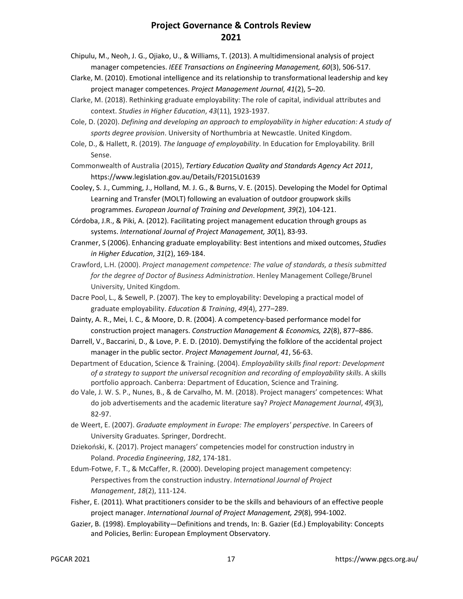- Chipulu, M., Neoh, J. G., Ojiako, U., & Williams, T. (2013). A multidimensional analysis of project manager competencies. *IEEE Transactions on Engineering Management, 60*(3), 506-517.
- Clarke, M. (2010). Emotional intelligence and its relationship to transformational leadership and key project manager competences. *Project Management Journal, 41*(2), 5–20.
- Clarke, M. (2018). Rethinking graduate employability: The role of capital, individual attributes and context. *Studies in Higher Education*, *43*(11), 1923-1937.
- Cole, D. (2020). *Defining and developing an approach to employability in higher education: A study of sports degree provision*. University of Northumbria at Newcastle. United Kingdom.
- Cole, D., & Hallett, R. (2019). *The language of employability*. In Education for Employability*.* Brill Sense.
- Commonwealth of Australia (2015), *Tertiary Education Quality and Standards Agency Act 2011*, https://www.legislation.gov.au/Details/F2015L01639
- Cooley, S. J., Cumming, J., Holland, M. J. G., & Burns, V. E. (2015). Developing the Model for Optimal Learning and Transfer (MOLT) following an evaluation of outdoor groupwork skills programmes. *European Journal of Training and Development, 39*(2), 104-121.

Córdoba, J.R., & Piki, A. (2012). Facilitating project management education through groups as systems. *International Journal of Project Management, 30*(1), 83-93.

- Cranmer, S (2006). Enhancing graduate employability: Best intentions and mixed outcomes, *Studies in Higher Education*, *31*(2), 169-184.
- Crawford, L.H. (2000). *Project management competence: The value of standards, a thesis submitted for the degree of Doctor of Business Administration*. Henley Management College/Brunel University, United Kingdom.
- Dacre Pool, L., & Sewell, P. (2007). The key to employability: Developing a practical model of graduate employability. *Education & Training*, *49*(4), 277–289.
- Dainty, A. R., Mei, I. C., & Moore, D. R. (2004). A competency-based performance model for construction project managers. *Construction Management & Economics, 22*(8), 877–886.
- Darrell, V., Baccarini, D., & Love, P. E. D. (2010). Demystifying the folklore of the accidental project manager in the public sector. *Project Management Journal*, *41*, 56-63.
- Department of Education, Science & Training. (2004). *Employability skills final report: Development of a strategy to support the universal recognition and recording of employability skills*. A skills portfolio approach. Canberra: Department of Education, Science and Training.
- do Vale, J. W. S. P., Nunes, B., & de Carvalho, M. M. (2018). Project managers' competences: What do job advertisements and the academic literature say? *Project Management Journal*, *49*(3), 82-97.
- de Weert, E. (2007). *Graduate employment in Europe: The employers' perspective*. In Careers of University Graduates. Springer, Dordrecht.
- Dziekoński, K. (2017). Project managers' competencies model for construction industry in Poland. *Procedia Engineering*, *182*, 174-181.
- Edum-Fotwe, F. T., & McCaffer, R. (2000). Developing project management competency: Perspectives from the construction industry. *International Journal of Project Management*, *18*(2), 111-124.
- Fisher, E. (2011). What practitioners consider to be the skills and behaviours of an effective people project manager. *International Journal of Project Management, 29*(8), 994-1002.
- Gazier, B. (1998). Employability—Definitions and trends, In: B. Gazier (Ed.) Employability: Concepts and Policies, Berlin: European Employment Observatory.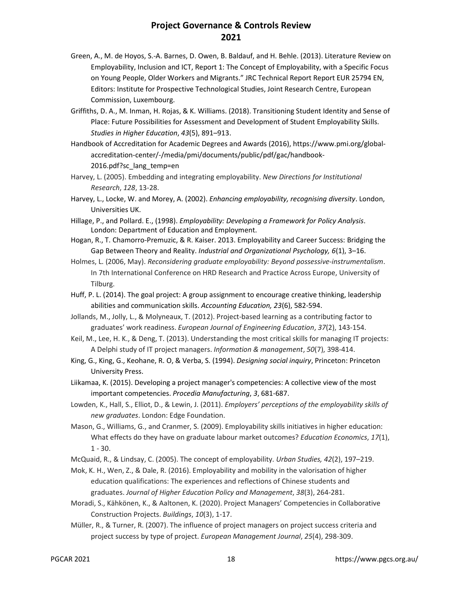- Green, A., M. de Hoyos, S.-A. Barnes, D. Owen, B. Baldauf, and H. Behle. (2013). Literature Review on Employability, Inclusion and ICT, Report 1: The Concept of Employability, with a Specific Focus on Young People, Older Workers and Migrants." JRC Technical Report Report EUR 25794 EN, Editors: Institute for Prospective Technological Studies, Joint Research Centre, European Commission, Luxembourg.
- Griffiths, D. A., M. Inman, H. Rojas, & K. Williams. (2018). Transitioning Student Identity and Sense of Place: Future Possibilities for Assessment and Development of Student Employability Skills. *Studies in Higher Education*, *43*(5), 891–913.
- Handbook of Accreditation for Academic Degrees and Awards (2016), https://www.pmi.org/globalaccreditation-center/-/media/pmi/documents/public/pdf/gac/handbook-2016.pdf?sc\_lang\_temp=en
- Harvey, L. (2005). Embedding and integrating employability. *New Directions for Institutional Research*, *128*, 13-28.
- Harvey, L., Locke, W. and Morey, A. (2002). *Enhancing employability, recognising diversity*. London, Universities UK.
- Hillage, P., and Pollard. E., (1998). *Employability: Developing a Framework for Policy Analysis*. London: Department of Education and Employment.
- Hogan, R., T. Chamorro-Premuzic, & R. Kaiser. 2013. Employability and Career Success: Bridging the Gap Between Theory and Reality. *Industrial and Organizational Psychology, 6*(1), 3–16.
- Holmes, L. (2006, May). *Reconsidering graduate employability: Beyond possessive-instrumentalism*. In 7th International Conference on HRD Research and Practice Across Europe, University of Tilburg.
- Huff, P. L. (2014). The goal project: A group assignment to encourage creative thinking, leadership abilities and communication skills. *Accounting Education, 23*(6), 582-594.
- Jollands, M., Jolly, L., & Molyneaux, T. (2012). Project-based learning as a contributing factor to graduates' work readiness. *European Journal of Engineering Education*, *37*(2), 143-154.
- Keil, M., Lee, H. K., & Deng, T. (2013). Understanding the most critical skills for managing IT projects: A Delphi study of IT project managers. *Information & management*, *50*(7), 398-414.
- King, G., King, G., Keohane, R. O, & Verba, S. (1994). *Designing social inquiry*, Princeton: Princeton University Press.
- Liikamaa, K. (2015). Developing a project manager's competencies: A collective view of the most important competencies. *Procedia Manufacturing*, *3*, 681-687.
- Lowden, K., Hall, S., Elliot, D., & Lewin, J. (2011). *Employers' perceptions of the employability skills of new graduates*. London: Edge Foundation.
- Mason, G., Williams, G., and Cranmer, S. (2009). Employability skills initiatives in higher education: What effects do they have on graduate labour market outcomes? *Education Economics*, *17*(1), 1 - 30.
- McQuaid, R., & Lindsay, C. (2005). The concept of employability. *Urban Studies, 42*(2), 197–219.
- Mok, K. H., Wen, Z., & Dale, R. (2016). Employability and mobility in the valorisation of higher education qualifications: The experiences and reflections of Chinese students and graduates. *Journal of Higher Education Policy and Management*, *38*(3), 264-281.
- Moradi, S., Kähkönen, K., & Aaltonen, K. (2020). Project Managers' Competencies in Collaborative Construction Projects. *Buildings*, *10*(3), 1-17.
- Müller, R., & Turner, R. (2007). The influence of project managers on project success criteria and project success by type of project. *European Management Journal*, *25*(4), 298-309.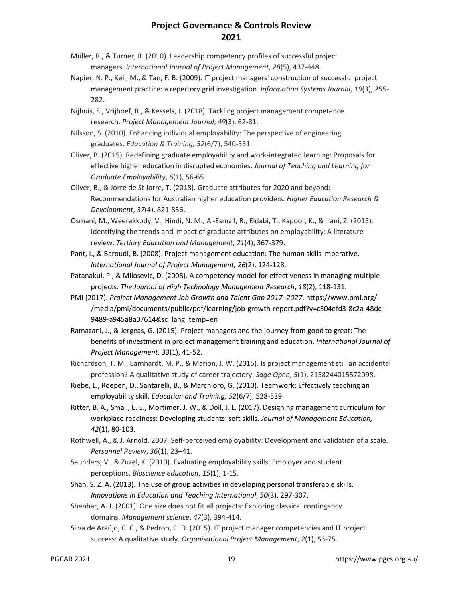- Müller, R., & Turner, R. (2010). Leadership competency profiles of successful project managers. *International Journal of Project Management*, *28*(5), 437-448.
- Napier, N. P., Keil, M., & Tan, F. B. (2009). IT project managers' construction of successful project management practice: a repertory grid investigation. *Information Systems Journal*, *19*(3), 255- 282.
- Nijhuis, S., Vrijhoef, R., & Kessels, J. (2018). Tackling project management competence research. *Project Management Journal*, *49*(3), 62-81.
- Nilsson, S. (2010). Enhancing individual employability: The perspective of engineering graduates. *Education & Training, 52*(6/7), 540-551.
- Oliver, B. (2015). Redefining graduate employability and work-integrated learning: Proposals for effective higher education in disrupted economies. *Journal of Teaching and Learning for Graduate Employability*, *6*(1), 56-65.
- Oliver, B., & Jorre de St Jorre, T. (2018). Graduate attributes for 2020 and beyond: Recommendations for Australian higher education providers. *Higher Education Research & Development*, *37*(4), 821-836.
- Osmani, M., Weerakkody, V., Hindi, N. M., Al-Esmail, R., Eldabi, T., Kapoor, K., & Irani, Z. (2015). Identifying the trends and impact of graduate attributes on employability: A literature review. *Tertiary Education and Management*, *21*(4), 367-379.
- Pant, I., & Baroudi, B. (2008). Project management education: The human skills imperative. *International Journal of Project Management, 26*(2), 124-128.
- Patanakul, P., & Milosevic, D. (2008). A competency model for effectiveness in managing multiple projects. *The Journal of High Technology Management Research*, *18*(2), 118-131.
- PMI (2017). *Project Management Job Growth and Talent Gap 2017–2027*. https://www.pmi.org/- /media/pmi/documents/public/pdf/learning/job-growth-report.pdf?v=c304efd3-8c2a-48dc-9489-a945a8a07614&sc\_lang\_temp=en
- Ramazani, J., & Jergeas, G. (2015). Project managers and the journey from good to great: The benefits of investment in project management training and education. *International Journal of Project Management, 33*(1), 41-52.
- Richardson, T. M., Earnhardt, M. P., & Marion, J. W. (2015). Is project management still an accidental profession? A qualitative study of career trajectory. *Sage Open*, *5*(1), 2158244015572098.
- Riebe, L., Roepen, D., Santarelli, B., & Marchioro, G. (2010). Teamwork: Effectively teaching an employability skill. *Education and Training, 52*(6/7), 528-539.
- Ritter, B. A., Small, E. E., Mortimer, J. W., & Doll, J. L. (2017). Designing management curriculum for workplace readiness: Developing students' soft skills. *Journal of Management Education, 42*(1), 80-103.
- Rothwell, A., & J. Arnold. 2007. Self-perceived employability: Development and validation of a scale. *Personnel Review*, *36*(1), 23–41.
- Saunders, V., & Zuzel, K. (2010). Evaluating employability skills: Employer and student perceptions. *Bioscience education*, *15*(1), 1-15.
- Shah, S. Z. A. (2013). The use of group activities in developing personal transferable skills. *Innovations in Education and Teaching International, 50*(3), 297-307.
- Shenhar, A. J. (2001). One size does not fit all projects: Exploring classical contingency domains. *Management science*, *47*(3), 394-414.
- Silva de Araújo, C. C., & Pedron, C. D. (2015). IT project manager competencies and IT project success: A qualitative study. *Organisational Project Management*, *2*(1), 53-75.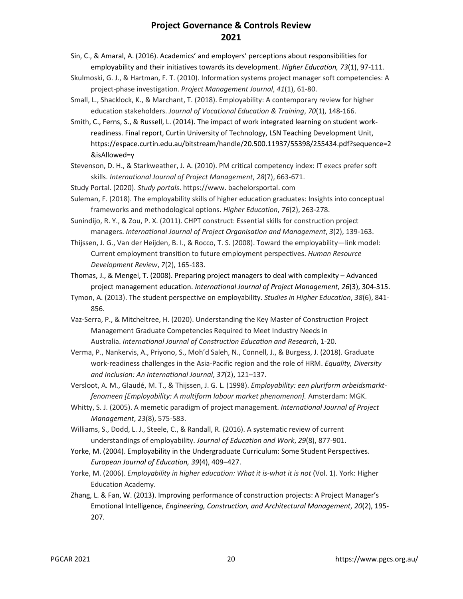- Sin, C., & Amaral, A. (2016). Academics' and employers' perceptions about responsibilities for employability and their initiatives towards its development. *Higher Education, 73*(1), 97-111.
- Skulmoski, G. J., & Hartman, F. T. (2010). Information systems project manager soft competencies: A project-phase investigation. *Project Management Journal*, *41*(1), 61-80.
- Small, L., Shacklock, K., & Marchant, T. (2018). Employability: A contemporary review for higher education stakeholders. *Journal of Vocational Education & Training*, *70*(1), 148-166.

Smith, C., Ferns, S., & Russell, L. (2014). The impact of work integrated learning on student workreadiness. Final report, Curtin University of Technology, LSN Teaching Development Unit, https://espace.curtin.edu.au/bitstream/handle/20.500.11937/55398/255434.pdf?sequence=2 &isAllowed=y

- Stevenson, D. H., & Starkweather, J. A. (2010). PM critical competency index: IT execs prefer soft skills. *International Journal of Project Management*, *28*(7), 663-671.
- Study Portal. (2020). *Study portals*. https://www. bachelorsportal. com
- Suleman, F. (2018). The employability skills of higher education graduates: Insights into conceptual frameworks and methodological options. *Higher Education*, *76*(2), 263-278.

Sunindijo, R. Y., & Zou, P. X. (2011). CHPT construct: Essential skills for construction project managers. *International Journal of Project Organisation and Management*, *3*(2), 139-163.

Thijssen, J. G., Van der Heijden, B. I., & Rocco, T. S. (2008). Toward the employability—link model: Current employment transition to future employment perspectives. *Human Resource Development Review*, *7*(2), 165-183.

Thomas, J., & Mengel, T. (2008). Preparing project managers to deal with complexity – Advanced project management education. *International Journal of Project Management, 26*(3), 304-315.

- Tymon, A. (2013). The student perspective on employability. *Studies in Higher Education*, *38*(6), 841- 856.
- Vaz-Serra, P., & Mitcheltree, H. (2020). Understanding the Key Master of Construction Project Management Graduate Competencies Required to Meet Industry Needs in Australia. *International Journal of Construction Education and Research*, 1-20.
- Verma, P., Nankervis, A., Priyono, S., Moh'd Saleh, N., Connell, J., & Burgess, J. (2018). Graduate work-readiness challenges in the Asia-Pacific region and the role of HRM. *Equality, Diversity and Inclusion: An International Journal*, *37*(2), 121–137.
- Versloot, A. M., Glaudé, M. T., & Thijssen, J. G. L. (1998). *Employability: een pluriform arbeidsmarktfenomeen [Employability: A multiform labour market phenomenon].* Amsterdam: MGK.
- Whitty, S. J. (2005). A memetic paradigm of project management. *International Journal of Project Management*, *23*(8), 575-583.

Williams, S., Dodd, L. J., Steele, C., & Randall, R. (2016). A systematic review of current understandings of employability. *Journal of Education and Work*, *29*(8), 877-901.

- Yorke, M. (2004). Employability in the Undergraduate Curriculum: Some Student Perspectives. *European Journal of Education, 39*(4), 409–427.
- Yorke, M. (2006). *Employability in higher education: What it is-what it is not* (Vol. 1). York: Higher Education Academy.
- Zhang, L. & Fan, W. (2013). Improving performance of construction projects: A Project Manager's Emotional Intelligence, *Engineering, Construction, and Architectural Management*, *20*(2), 195- 207.